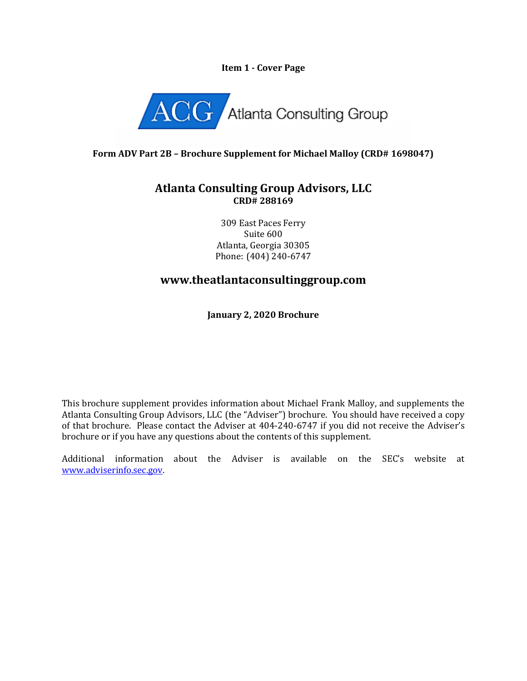#### **Item 1 - Cover Page**



### **Form ADV Part 2B – Brochure Supplement for Michael Malloy (CRD# 1698047)**

## **Atlanta Consulting Group Advisors, LLC CRD# 288169**

309 East Paces Ferry Suite 600 Atlanta, Georgia 30305 Phone: (404) 240-6747

# **www.theatlantaconsultinggroup.com**

**January 2, 2020 Brochure**

This brochure supplement provides information about Michael Frank Malloy, and supplements the Atlanta Consulting Group Advisors, LLC (the "Adviser") brochure. You should have received a copy of that brochure. Please contact the Adviser at 404-240-6747 if you did not receive the Adviser's brochure or if you have any questions about the contents of this supplement.

Additional information about the Adviser is available on the SEC's website at [www.adviserinfo.sec.gov.](http://www.adviserinfo.sec.gov/)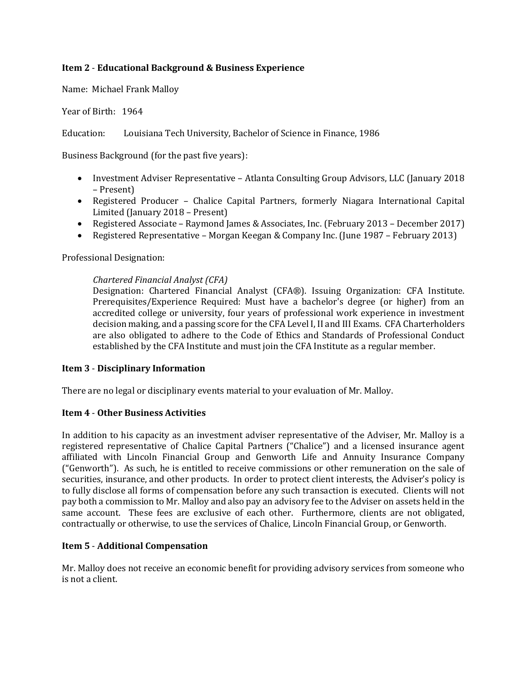### **Item 2** - **Educational Background & Business Experience**

Name: Michael Frank Malloy

Year of Birth: 1964

Education: Louisiana Tech University, Bachelor of Science in Finance, 1986

Business Background (for the past five years):

- Investment Adviser Representative Atlanta Consulting Group Advisors, LLC (January 2018 – Present)
- Registered Producer Chalice Capital Partners, formerly Niagara International Capital Limited (January 2018 – Present)
- Registered Associate Raymond James & Associates, Inc. (February 2013 December 2017)
- Registered Representative Morgan Keegan & Company Inc. (June 1987 February 2013)

Professional Designation:

#### *Chartered Financial Analyst (CFA)*

Designation: Chartered Financial Analyst (CFA®). Issuing Organization: CFA Institute. Prerequisites/Experience Required: Must have a bachelor's degree (or higher) from an accredited college or university, four years of professional work experience in investment decision making, and a passing score for the CFA Level I, II and III Exams. CFA Charterholders are also obligated to adhere to the Code of Ethics and Standards of Professional Conduct established by the CFA Institute and must join the CFA Institute as a regular member.

#### **Item 3** - **Disciplinary Information**

There are no legal or disciplinary events material to your evaluation of Mr. Malloy.

#### **Item 4** - **Other Business Activities**

In addition to his capacity as an investment adviser representative of the Adviser, Mr. Malloy is a registered representative of Chalice Capital Partners ("Chalice") and a licensed insurance agent affiliated with Lincoln Financial Group and Genworth Life and Annuity Insurance Company ("Genworth"). As such, he is entitled to receive commissions or other remuneration on the sale of securities, insurance, and other products. In order to protect client interests, the Adviser's policy is to fully disclose all forms of compensation before any such transaction is executed. Clients will not pay both a commission to Mr. Malloy and also pay an advisory fee to the Adviser on assets held in the same account. These fees are exclusive of each other. Furthermore, clients are not obligated, contractually or otherwise, to use the services of Chalice, Lincoln Financial Group, or Genworth.

### **Item 5** - **Additional Compensation**

Mr. Malloy does not receive an economic benefit for providing advisory services from someone who is not a client.